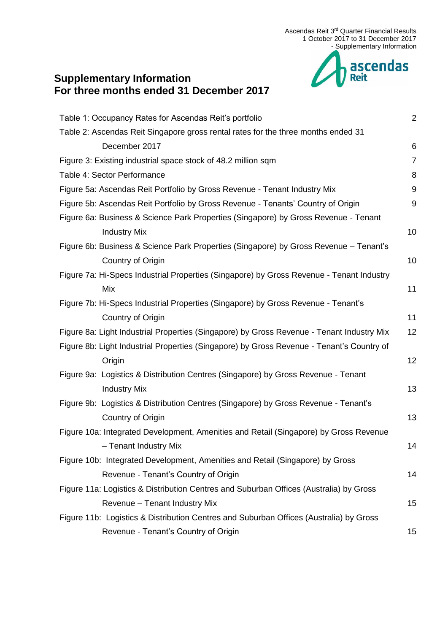

# [Table 1: Occupancy Rates for Ascendas Reit's portfolio](#page-1-0) 2 [Table 2: Ascendas Reit Singapore gross rental rates for the three months ended 31](#page-5-0)  [December 2017](#page-5-0) 6 [Figure 3: Existing industrial space stock of 48.2](#page-6-0) million sqm Table [4: Sector Performance](#page-7-0) 8 [Figure 5a: Ascendas Reit Portfolio by Gross Revenue -](#page-8-0) Tenant Industry Mix 9 [Figure 5b: Ascendas Reit Portfolio by Gross Revenue -](#page-8-1) Tenants' Country of Origin 9 [Figure 6a: Business & Science Park Properties \(Singapore\) by Gross Revenue -](#page-9-0) Tenant [Industry Mix](#page-9-0) 10 [Figure 6b: Business & Science Park Properties \(Singapore\) by Gross Revenue –](#page-9-1) Tenant's **[Country of Origin](#page-9-1)** 10 [Figure 7a: Hi-Specs Industrial Properties \(Singapore\) by Gross Revenue -](#page-10-0) Tenant Industry  $Mix$  11 [Figure 7b: Hi-Specs Industrial Properties \(Singapore\) by Gross Revenue -](#page-10-1) Tenant's **[Country of Origin](#page-10-1)** 11 [Figure 8a: Light Industrial Properties \(Singapore\) by Gross Revenue -](#page-11-0) Tenant Industry Mix 12 [Figure 8b: Light Industrial Properties \(Singapore\) by Gross Revenue -](#page-11-1) Tenant's Country of [Origin](#page-11-1) 12 [Figure 9a: Logistics & Distribution Centres \(Singapore\) by Gross Revenue -](#page-12-0) Tenant [Industry Mix](#page-12-0) 2012 13 [Figure 9b: Logistics & Distribution Centres \(Singapore\) by Gross Revenue -](#page-12-1) Tenant's **[Country of Origin](#page-12-1)** 13 [Figure 10a: Integrated Development, Amenities and Retail \(Singapore\) by Gross Revenue](#page-13-0)  – [Tenant Industry Mix](#page-13-0) 14

**Supplementary Information** 

**For three months ended 31 December 2017**

- [Figure 10b: Integrated Development, Amenities and Retail \(Singapore\) by Gross](#page-13-1)  Revenue - [Tenant's Country of Origin](#page-13-1) **14** and 14 [Figure 11a: Logistics & Distribution Centres and Suburban Offices \(Australia\) by Gross](#page-14-0)  Revenue – [Tenant Industry Mix](#page-14-0) 15
- [Figure 11b: Logistics & Distribution Centres and Suburban Offices \(Australia\) by Gross](#page-14-1)  Revenue - [Tenant's Country of Origin](#page-14-1) 15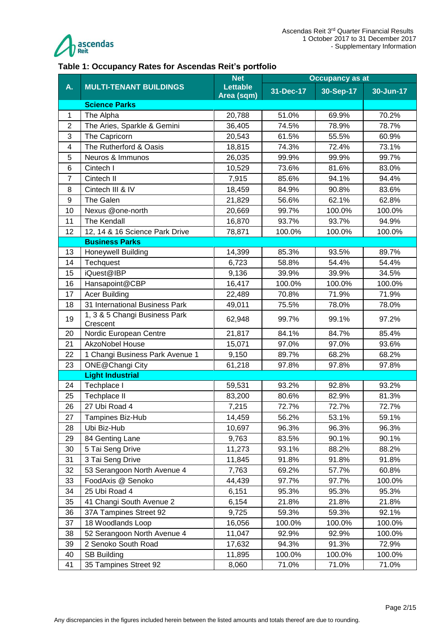

#### <span id="page-1-0"></span>**Table 1: Occupancy Rates for Ascendas Reit's portfolio**

|                |                                           | <b>Net</b>                    |           | <b>Occupancy as at</b> |           |
|----------------|-------------------------------------------|-------------------------------|-----------|------------------------|-----------|
| A.             | <b>MULTI-TENANT BUILDINGS</b>             | <b>Lettable</b><br>Area (sqm) | 31-Dec-17 | 30-Sep-17              | 30-Jun-17 |
|                | <b>Science Parks</b>                      |                               |           |                        |           |
| 1              | The Alpha                                 | 20,788                        | 51.0%     | 69.9%                  | 70.2%     |
| $\overline{2}$ | The Aries, Sparkle & Gemini               | 36,405                        | 74.5%     | 78.9%                  | 78.7%     |
| 3              | The Capricorn                             | 20,543                        | 61.5%     | 55.5%                  | 60.9%     |
| 4              | The Rutherford & Oasis                    | 18,815                        | 74.3%     | 72.4%                  | 73.1%     |
| 5              | Neuros & Immunos                          | 26,035                        | 99.9%     | 99.9%                  | 99.7%     |
| 6              | Cintech I                                 | 10,529                        | 73.6%     | 81.6%                  | 83.0%     |
| $\overline{7}$ | Cintech II                                | 7,915                         | 85.6%     | 94.1%                  | 94.4%     |
| 8              | Cintech III & IV                          | 18,459                        | 84.9%     | 90.8%                  | 83.6%     |
| 9              | The Galen                                 | 21,829                        | 56.6%     | 62.1%                  | 62.8%     |
| 10             | Nexus @one-north                          | 20,669                        | 99.7%     | 100.0%                 | 100.0%    |
| 11             | <b>The Kendall</b>                        | 16,870                        | 93.7%     | 93.7%                  | 94.9%     |
| 12             | 12, 14 & 16 Science Park Drive            | 78,871                        | 100.0%    | 100.0%                 | 100.0%    |
|                | <b>Business Parks</b>                     |                               |           |                        |           |
| 13             | <b>Honeywell Building</b>                 | 14,399                        | 85.3%     | 93.5%                  | 89.7%     |
| 14             | Techquest                                 | 6,723                         | 58.8%     | 54.4%                  | 54.4%     |
| 15             | iQuest@IBP                                | 9,136                         | 39.9%     | 39.9%                  | 34.5%     |
| 16             | Hansapoint@CBP                            | 16,417                        | 100.0%    | 100.0%                 | 100.0%    |
| 17             | <b>Acer Building</b>                      | 22,489                        | 70.8%     | 71.9%                  | 71.9%     |
| 18             | 31 International Business Park            | 49,011                        | 75.5%     | 78.0%                  | 78.0%     |
| 19             | 1, 3 & 5 Changi Business Park<br>Crescent | 62,948                        | 99.7%     | 99.1%                  | 97.2%     |
| 20             | Nordic European Centre                    | 21,817                        | 84.1%     | 84.7%                  | 85.4%     |
| 21             | <b>AkzoNobel House</b>                    | 15,071                        | 97.0%     | 97.0%                  | 93.6%     |
| 22             | 1 Changi Business Park Avenue 1           | 9,150                         | 89.7%     | 68.2%                  | 68.2%     |
| 23             | ONE@Changi City                           | 61,218                        | 97.8%     | 97.8%                  | 97.8%     |
|                | <b>Light Industrial</b>                   |                               |           |                        |           |
| 24             | Techplace I                               | 59,531                        | 93.2%     | 92.8%                  | 93.2%     |
| 25             | Techplace II                              | 83,200                        | 80.6%     | 82.9%                  | 81.3%     |
| 26             | 27 Ubi Road 4                             | 7,215                         | 72.7%     | 72.7%                  | 72.7%     |
| 27             | Tampines Biz-Hub                          | 14,459                        | 56.2%     | 53.1%                  | 59.1%     |
| 28             | Ubi Biz-Hub                               | 10,697                        | 96.3%     | 96.3%                  | 96.3%     |
| 29             | 84 Genting Lane                           | 9,763                         | 83.5%     | 90.1%                  | 90.1%     |
| 30             | 5 Tai Seng Drive                          | 11,273                        | 93.1%     | 88.2%                  | 88.2%     |
| 31             | 3 Tai Seng Drive                          | 11,845                        | 91.8%     | 91.8%                  | 91.8%     |
| 32             | 53 Serangoon North Avenue 4               | 7,763                         | 69.2%     | 57.7%                  | 60.8%     |
| 33             | FoodAxis @ Senoko                         | 44,439                        | 97.7%     | 97.7%                  | 100.0%    |
| 34             | 25 Ubi Road 4                             | 6,151                         | 95.3%     | 95.3%                  | 95.3%     |
| 35             | 41 Changi South Avenue 2                  | 6,154                         | 21.8%     | 21.8%                  | 21.8%     |
| 36             | 37A Tampines Street 92                    | 9,725                         | 59.3%     | 59.3%                  | 92.1%     |
| 37             | 18 Woodlands Loop                         | 16,056                        | 100.0%    | 100.0%                 | 100.0%    |
| 38             | 52 Serangoon North Avenue 4               | 11,047                        | 92.9%     | 92.9%                  | 100.0%    |
| 39             | 2 Senoko South Road                       | 17,632                        | 94.3%     | 91.3%                  | 72.9%     |
| 40             | <b>SB Building</b>                        | 11,895                        | 100.0%    | 100.0%                 | 100.0%    |
| 41             | 35 Tampines Street 92                     | 8,060                         | 71.0%     | 71.0%                  | 71.0%     |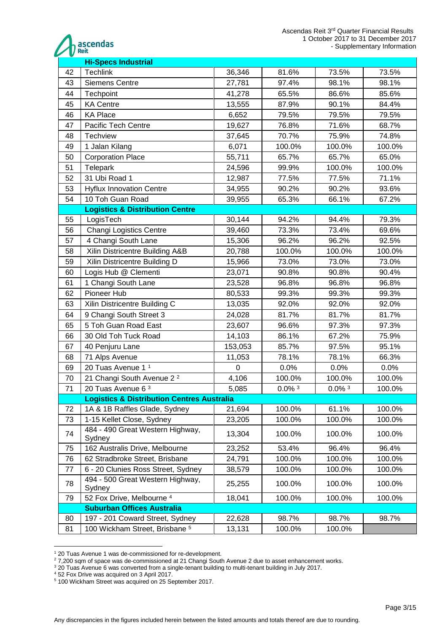

|    | <b>Hi-Specs Industrial</b>                            |         |                      |                      |        |
|----|-------------------------------------------------------|---------|----------------------|----------------------|--------|
| 42 | <b>Techlink</b>                                       | 36,346  | 81.6%                | 73.5%                | 73.5%  |
| 43 | <b>Siemens Centre</b>                                 | 27,781  | 97.4%                | 98.1%                | 98.1%  |
| 44 | Techpoint                                             | 41,278  | 65.5%                | 86.6%                | 85.6%  |
| 45 | <b>KA Centre</b>                                      | 13,555  | 87.9%                | 90.1%                | 84.4%  |
| 46 | <b>KA Place</b>                                       | 6,652   | 79.5%                | 79.5%                | 79.5%  |
| 47 | Pacific Tech Centre                                   | 19,627  | 76.8%                | 71.6%                | 68.7%  |
| 48 | <b>Techview</b>                                       | 37,645  | 70.7%                | 75.9%                | 74.8%  |
| 49 | 1 Jalan Kilang                                        | 6,071   | 100.0%               | 100.0%               | 100.0% |
| 50 | <b>Corporation Place</b>                              | 55,711  | 65.7%                | 65.7%                | 65.0%  |
| 51 | Telepark                                              | 24,596  | 99.9%                | 100.0%               | 100.0% |
| 52 | 31 Ubi Road 1                                         | 12,987  | 77.5%                | 77.5%                | 71.1%  |
| 53 | <b>Hyflux Innovation Centre</b>                       | 34,955  | 90.2%                | 90.2%                | 93.6%  |
| 54 | 10 Toh Guan Road                                      | 39,955  | 65.3%                | 66.1%                | 67.2%  |
|    | <b>Logistics &amp; Distribution Centre</b>            |         |                      |                      |        |
| 55 | LogisTech                                             | 30,144  | 94.2%                | 94.4%                | 79.3%  |
| 56 | <b>Changi Logistics Centre</b>                        | 39,460  | 73.3%                | 73.4%                | 69.6%  |
| 57 | 4 Changi South Lane                                   | 15,306  | 96.2%                | 96.2%                | 92.5%  |
| 58 | Xilin Districentre Building A&B                       | 20,788  | 100.0%               | 100.0%               | 100.0% |
| 59 | Xilin Districentre Building D                         | 15,966  | 73.0%                | 73.0%                | 73.0%  |
| 60 | Logis Hub @ Clementi                                  | 23,071  | 90.8%                | 90.8%                | 90.4%  |
| 61 | 1 Changi South Lane                                   | 23,528  | 96.8%                | 96.8%                | 96.8%  |
| 62 | Pioneer Hub                                           | 80,533  | 99.3%                | 99.3%                | 99.3%  |
| 63 | Xilin Districentre Building C                         | 13,035  | 92.0%                | 92.0%                | 92.0%  |
| 64 | 9 Changi South Street 3                               | 24,028  | 81.7%                | 81.7%                | 81.7%  |
| 65 | 5 Toh Guan Road East                                  | 23,607  | 96.6%                | 97.3%                | 97.3%  |
| 66 | 30 Old Toh Tuck Road                                  | 14,103  | 86.1%                | 67.2%                | 75.9%  |
| 67 | 40 Penjuru Lane                                       | 153,053 | 85.7%                | 97.5%                | 95.1%  |
| 68 | 71 Alps Avenue                                        | 11,053  | 78.1%                | 78.1%                | 66.3%  |
| 69 | 20 Tuas Avenue 1 <sup>1</sup>                         | 0       | 0.0%                 | 0.0%                 | 0.0%   |
| 70 | 21 Changi South Avenue 2 <sup>2</sup>                 | 4,106   | 100.0%               | 100.0%               | 100.0% |
| 71 | 20 Tuas Avenue 6 3                                    | 5,085   | $0.0\%$ <sup>3</sup> | $0.0\%$ <sup>3</sup> | 100.0% |
|    | <b>Logistics &amp; Distribution Centres Australia</b> |         |                      |                      |        |
| 72 | 1A & 1B Raffles Glade, Sydney                         | 21,694  | 100.0%               | 61.1%                | 100.0% |
| 73 | 1-15 Kellet Close, Sydney                             | 23,205  | 100.0%               | 100.0%               | 100.0% |
| 74 | 484 - 490 Great Western Highway,<br>Sydney            | 13,304  | 100.0%               | 100.0%               | 100.0% |
| 75 | 162 Australis Drive, Melbourne                        | 23,252  | 53.4%                | 96.4%                | 96.4%  |
| 76 | 62 Stradbroke Street, Brisbane                        | 24,791  | 100.0%               | 100.0%               | 100.0% |
| 77 | 6 - 20 Clunies Ross Street, Sydney                    | 38,579  | 100.0%               | 100.0%               | 100.0% |
| 78 | 494 - 500 Great Western Highway,<br>Sydney            | 25,255  | 100.0%               | 100.0%               | 100.0% |
| 79 | 52 Fox Drive, Melbourne <sup>4</sup>                  | 18,041  | 100.0%               | 100.0%               | 100.0% |
|    | <b>Suburban Offices Australia</b>                     |         |                      |                      |        |
| 80 | 197 - 201 Coward Street, Sydney                       | 22,628  | 98.7%                | 98.7%                | 98.7%  |
| 81 | 100 Wickham Street, Brisbane <sup>5</sup>             | 13,131  | 100.0%               | 100.0%               |        |

<sup>&</sup>lt;sup>1</sup> 20 Tuas Avenue 1 was de-commissioned for re-development.

 $27,200$  sqm of space was de-commissioned at 21 Changi South Avenue 2 due to asset enhancement works.

20 Tuas Avenue 6 was converted from a single-tenant building to multi-tenant building in July 2017.

52 Fox Drive was acquired on 3 April 2017.

100 Wickham Street was acquired on 25 September 2017.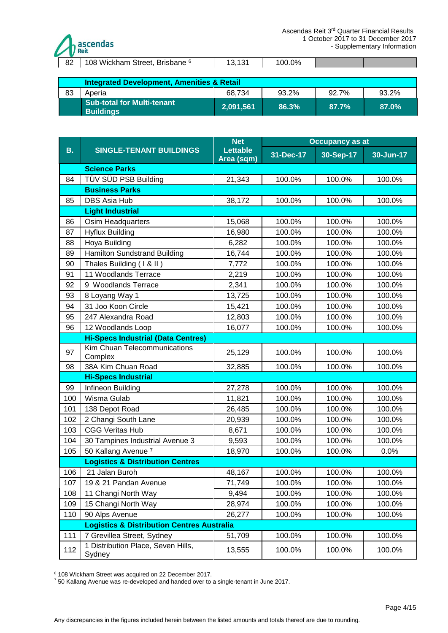

|  | 82   108 Wickham Street, Brisbane <sup>6</sup> | 13.131 | 100.0% |  |  |
|--|------------------------------------------------|--------|--------|--|--|
|--|------------------------------------------------|--------|--------|--|--|

|    | <b>Integrated Development, Amenities &amp; Retail</b> |                                   |       |       |       |  |  |  |  |
|----|-------------------------------------------------------|-----------------------------------|-------|-------|-------|--|--|--|--|
| 83 | Aperia                                                | 68.734<br>93.2%<br>92.7%<br>93.2% |       |       |       |  |  |  |  |
|    | <b>Sub-total for Multi-tenant</b><br><b>Buildings</b> | 2,091,561                         | 86.3% | 87.7% | 87.0% |  |  |  |  |

|           |                                                       | <b>Net</b>             | <b>Occupancy as at</b> |           |           |  |
|-----------|-------------------------------------------------------|------------------------|------------------------|-----------|-----------|--|
| <b>B.</b> | <b>SINGLE-TENANT BUILDINGS</b>                        | Lettable<br>Area (sqm) | 31-Dec-17              | 30-Sep-17 | 30-Jun-17 |  |
|           | <b>Science Parks</b>                                  |                        |                        |           |           |  |
| 84        | TÜV SÜD PSB Building                                  | 21,343                 | 100.0%                 | 100.0%    | 100.0%    |  |
|           | <b>Business Parks</b>                                 |                        |                        |           |           |  |
| 85        | <b>DBS Asia Hub</b>                                   | 38,172                 | 100.0%                 | 100.0%    | 100.0%    |  |
|           | <b>Light Industrial</b>                               |                        |                        |           |           |  |
| 86        | Osim Headquarters                                     | 15,068                 | 100.0%                 | 100.0%    | 100.0%    |  |
| 87        | <b>Hyflux Building</b>                                | 16,980                 | 100.0%                 | 100.0%    | 100.0%    |  |
| 88        | Hoya Building                                         | 6,282                  | 100.0%                 | 100.0%    | 100.0%    |  |
| 89        | <b>Hamilton Sundstrand Building</b>                   | 16,744                 | 100.0%                 | 100.0%    | 100.0%    |  |
| 90        | Thales Building (1 & II)                              | 7,772                  | 100.0%                 | 100.0%    | 100.0%    |  |
| 91        | 11 Woodlands Terrace                                  | 2,219                  | 100.0%                 | 100.0%    | 100.0%    |  |
| 92        | 9 Woodlands Terrace                                   | 2,341                  | 100.0%                 | 100.0%    | 100.0%    |  |
| 93        | 8 Loyang Way 1                                        | 13,725                 | 100.0%                 | 100.0%    | 100.0%    |  |
| 94        | 31 Joo Koon Circle                                    | 15,421                 | 100.0%                 | 100.0%    | 100.0%    |  |
| 95        | 247 Alexandra Road                                    | 12,803                 | 100.0%                 | 100.0%    | 100.0%    |  |
| 96        | 12 Woodlands Loop                                     | 16,077                 | 100.0%                 | 100.0%    | 100.0%    |  |
|           | <b>Hi-Specs Industrial (Data Centres)</b>             |                        |                        |           |           |  |
| 97        | Kim Chuan Telecommunications<br>Complex               | 25,129                 | 100.0%                 | 100.0%    | 100.0%    |  |
| 98        | 38A Kim Chuan Road                                    | 32,885                 | 100.0%                 | 100.0%    | 100.0%    |  |
|           | <b>Hi-Specs Industrial</b>                            |                        |                        |           |           |  |
| 99        | Infineon Building                                     | 27,278                 | 100.0%                 | 100.0%    | 100.0%    |  |
| 100       | Wisma Gulab                                           | 11,821                 | 100.0%                 | 100.0%    | 100.0%    |  |
| 101       | 138 Depot Road                                        | 26,485                 | 100.0%                 | 100.0%    | 100.0%    |  |
| 102       | 2 Changi South Lane                                   | 20,939                 | 100.0%                 | 100.0%    | 100.0%    |  |
| 103       | <b>CGG Veritas Hub</b>                                | 8,671                  | 100.0%                 | 100.0%    | 100.0%    |  |
| 104       | 30 Tampines Industrial Avenue 3                       | 9,593                  | 100.0%                 | 100.0%    | 100.0%    |  |
| 105       | 50 Kallang Avenue <sup>7</sup>                        | 18,970                 | 100.0%                 | 100.0%    | 0.0%      |  |
|           | <b>Logistics &amp; Distribution Centres</b>           |                        |                        |           |           |  |
| 106       | 21 Jalan Buroh                                        | 48,167                 | 100.0%                 | 100.0%    | 100.0%    |  |
| 107       | 19 & 21 Pandan Avenue                                 | 71,749                 | 100.0%                 | 100.0%    | 100.0%    |  |
| 108       | 11 Changi North Way                                   | 9,494                  | 100.0%                 | 100.0%    | 100.0%    |  |
| 109       | 15 Changi North Way                                   | 28,974                 | 100.0%                 | 100.0%    | 100.0%    |  |
| 110       | 90 Alps Avenue                                        | 26,277                 | 100.0%                 | 100.0%    | 100.0%    |  |
|           | <b>Logistics &amp; Distribution Centres Australia</b> |                        |                        |           |           |  |
| 111       | 7 Grevillea Street, Sydney                            | 51,709                 | 100.0%                 | 100.0%    | 100.0%    |  |
| 112       | 1 Distribution Place, Seven Hills,<br>Sydney          | 13,555                 | 100.0%                 | 100.0%    | 100.0%    |  |

<sup>1</sup> <sup>6</sup> 108 Wickham Street was acquired on 22 December 2017.

 $7$  50 Kallang Avenue was re-developed and handed over to a single-tenant in June 2017.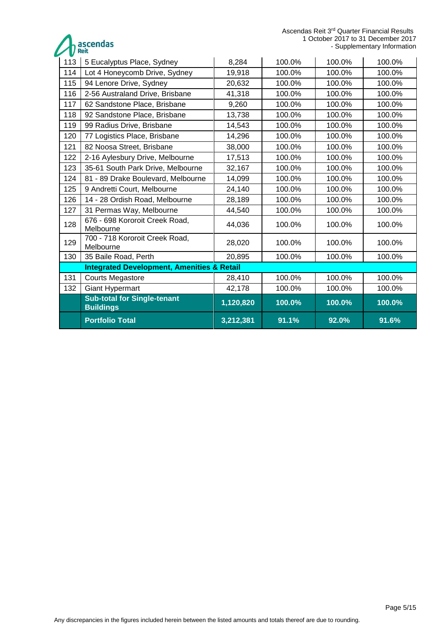Ascendas Reit 3<sup>rd</sup> Quarter Financial Results 1 October 2017 to 31 December 2017 - Supplementary Information

ascendas

| 113 | 5 Eucalyptus Place, Sydney                             | 8,284     | 100.0% | 100.0% | 100.0% |
|-----|--------------------------------------------------------|-----------|--------|--------|--------|
| 114 | Lot 4 Honeycomb Drive, Sydney                          | 19,918    | 100.0% | 100.0% | 100.0% |
| 115 | 94 Lenore Drive, Sydney                                | 20,632    | 100.0% | 100.0% | 100.0% |
| 116 | 2-56 Australand Drive, Brisbane                        | 41,318    | 100.0% | 100.0% | 100.0% |
| 117 | 62 Sandstone Place, Brisbane                           | 9,260     | 100.0% | 100.0% | 100.0% |
| 118 | 92 Sandstone Place, Brisbane                           | 13,738    | 100.0% | 100.0% | 100.0% |
| 119 | 99 Radius Drive, Brisbane                              | 14,543    | 100.0% | 100.0% | 100.0% |
| 120 | 77 Logistics Place, Brisbane                           | 14,296    | 100.0% | 100.0% | 100.0% |
| 121 | 82 Noosa Street, Brisbane                              | 38,000    | 100.0% | 100.0% | 100.0% |
| 122 | 2-16 Aylesbury Drive, Melbourne                        | 17,513    | 100.0% | 100.0% | 100.0% |
| 123 | 35-61 South Park Drive, Melbourne                      | 32,167    | 100.0% | 100.0% | 100.0% |
| 124 | 81 - 89 Drake Boulevard, Melbourne                     | 14,099    | 100.0% | 100.0% | 100.0% |
| 125 | 9 Andretti Court, Melbourne                            | 24,140    | 100.0% | 100.0% | 100.0% |
| 126 | 14 - 28 Ordish Road, Melbourne                         | 28,189    | 100.0% | 100.0% | 100.0% |
| 127 | 31 Permas Way, Melbourne                               | 44,540    | 100.0% | 100.0% | 100.0% |
| 128 | 676 - 698 Kororoit Creek Road,<br>Melbourne            | 44,036    | 100.0% | 100.0% | 100.0% |
| 129 | 700 - 718 Kororoit Creek Road,<br>Melbourne            | 28,020    | 100.0% | 100.0% | 100.0% |
| 130 | 35 Baile Road, Perth                                   | 20,895    | 100.0% | 100.0% | 100.0% |
|     | <b>Integrated Development, Amenities &amp; Retail</b>  |           |        |        |        |
| 131 | <b>Courts Megastore</b>                                | 28,410    | 100.0% | 100.0% | 100.0% |
| 132 | <b>Giant Hypermart</b>                                 | 42,178    | 100.0% | 100.0% | 100.0% |
|     | <b>Sub-total for Single-tenant</b><br><b>Buildings</b> | 1,120,820 | 100.0% | 100.0% | 100.0% |
|     | <b>Portfolio Total</b>                                 | 3,212,381 | 91.1%  | 92.0%  | 91.6%  |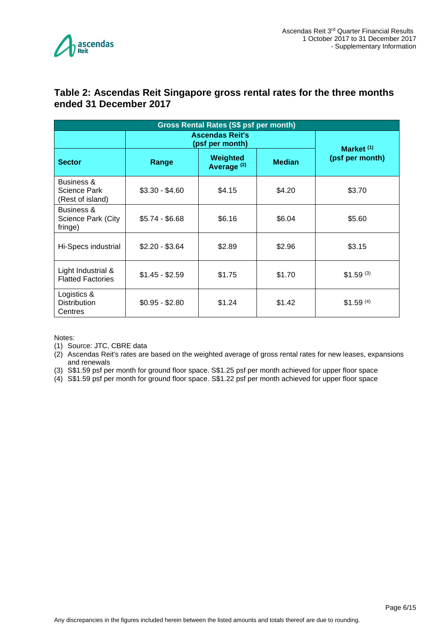

#### <span id="page-5-0"></span>**Table 2: Ascendas Reit Singapore gross rental rates for the three months ended 31 December 2017**

| Gross Rental Rates (S\$ psf per month)                    |                                           |                                    |               |                       |  |  |  |
|-----------------------------------------------------------|-------------------------------------------|------------------------------------|---------------|-----------------------|--|--|--|
|                                                           | <b>Ascendas Reit's</b><br>(psf per month) | Market $(1)$                       |               |                       |  |  |  |
| <b>Sector</b>                                             | Range                                     | Weighted<br>Average <sup>(2)</sup> | <b>Median</b> | (psf per month)       |  |  |  |
| <b>Business &amp;</b><br>Science Park<br>(Rest of island) | $$3.30 - $4.60$                           | \$4.15                             | \$4.20        | \$3.70                |  |  |  |
| Business &<br>Science Park (City<br>fringe)               | $$5.74 - $6.68$                           | \$6.16                             | \$6.04        | \$5.60                |  |  |  |
| Hi-Specs industrial                                       | $$2.20 - $3.64$                           | \$2.89                             | \$2.96        | \$3.15                |  |  |  |
| Light Industrial &<br><b>Flatted Factories</b>            | $$1.45 - $2.59$                           | \$1.75                             | \$1.70        | $$1.59^{(3)}$         |  |  |  |
| Logistics &<br><b>Distribution</b><br>Centres             | $$0.95 - $2.80$                           | \$1.24                             | \$1.42        | \$1.59 <sup>(4)</sup> |  |  |  |

Notes:

(1) Source: JTC, CBRE data

(2) Ascendas Reit's rates are based on the weighted average of gross rental rates for new leases, expansions and renewals

(3) S\$1.59 psf per month for ground floor space. S\$1.25 psf per month achieved for upper floor space

(4) S\$1.59 psf per month for ground floor space. S\$1.22 psf per month achieved for upper floor space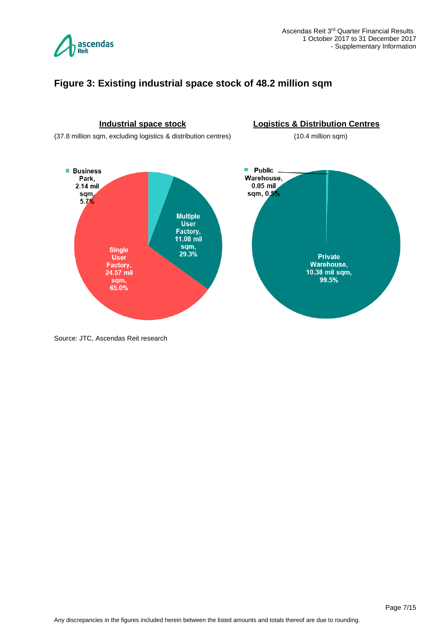

#### <span id="page-6-0"></span>**Figure 3: Existing industrial space stock of 48.2 million sqm**



Source: JTC, Ascendas Reit research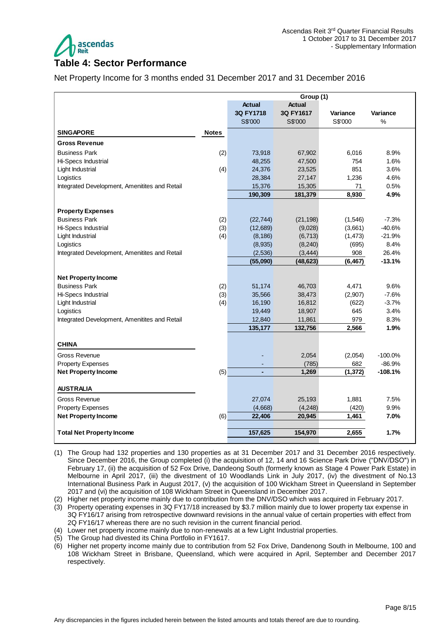

#### <span id="page-7-0"></span>**Table 4: Sector Performance**

Net Property Income for 3 months ended 31 December 2017 and 31 December 2016

|                                               | Group (1)    |               |               |          |           |
|-----------------------------------------------|--------------|---------------|---------------|----------|-----------|
|                                               |              | <b>Actual</b> | <b>Actual</b> |          |           |
|                                               |              | 3Q FY1718     | 3Q FY1617     | Variance | Variance  |
|                                               |              | S\$'000       | S\$'000       | S\$'000  | %         |
| <b>SINGAPORE</b>                              | <b>Notes</b> |               |               |          |           |
| <b>Gross Revenue</b>                          |              |               |               |          |           |
| <b>Business Park</b>                          | (2)          | 73,918        | 67,902        | 6,016    | 8.9%      |
| Hi-Specs Industrial                           |              | 48,255        | 47,500        | 754      | 1.6%      |
| Light Industrial                              | (4)          | 24,376        | 23,525        | 851      | 3.6%      |
| Logistics                                     |              | 28,384        | 27,147        | 1,236    | 4.6%      |
| Integrated Development, Amenitites and Retail |              | 15,376        | 15,305        | 71       | 0.5%      |
|                                               |              | 190,309       | 181,379       | 8,930    | 4.9%      |
| <b>Property Expenses</b>                      |              |               |               |          |           |
| <b>Business Park</b>                          | (2)          | (22, 744)     | (21, 198)     | (1,546)  | $-7.3%$   |
| Hi-Specs Industrial                           | (3)          | (12,689)      | (9,028)       | (3,661)  | $-40.6%$  |
| Light Industrial                              | (4)          | (8, 186)      | (6, 713)      | (1, 473) | $-21.9%$  |
| Logistics                                     |              | (8,935)       | (8, 240)      | (695)    | 8.4%      |
| Integrated Development, Amenitites and Retail |              | (2,536)       | (3, 444)      | 908      | 26.4%     |
|                                               |              | (55,090)      | (48, 623)     | (6, 467) | $-13.1%$  |
|                                               |              |               |               |          |           |
| <b>Net Property Income</b>                    |              |               |               |          |           |
| <b>Business Park</b>                          | (2)          | 51,174        | 46,703        | 4,471    | 9.6%      |
| Hi-Specs Industrial                           | (3)          | 35,566        | 38,473        | (2,907)  | $-7.6%$   |
| Light Industrial                              | (4)          | 16,190        | 16,812        | (622)    | $-3.7%$   |
| Logistics                                     |              | 19,449        | 18,907        | 645      | 3.4%      |
| Integrated Development, Amenitites and Retail |              | 12,840        | 11,861        | 979      | 8.3%      |
|                                               |              | 135,177       | 132,756       | 2,566    | 1.9%      |
| <b>CHINA</b>                                  |              |               |               |          |           |
| <b>Gross Revenue</b>                          |              |               | 2,054         | (2,054)  | $-100.0%$ |
| <b>Property Expenses</b>                      |              |               | (785)         | 682      | $-86.9%$  |
| <b>Net Property Income</b>                    | (5)          |               | 1,269         | (1, 372) | $-108.1%$ |
|                                               |              |               |               |          |           |
| <b>AUSTRALIA</b>                              |              |               |               |          |           |
| Gross Revenue                                 |              | 27,074        | 25,193        | 1,881    | 7.5%      |
| <b>Property Expenses</b>                      |              | (4,668)       | (4, 248)      | (420)    | 9.9%      |
| <b>Net Property Income</b>                    | (6)          | 22,406        | 20,945        | 1,461    | 7.0%      |
|                                               |              |               |               |          |           |
| <b>Total Net Property Income</b>              |              | 157,625       | 154,970       | 2,655    | 1.7%      |

- (1) The Group had 132 properties and 130 properties as at 31 December 2017 and 31 December 2016 respectively. Since December 2016, the Group completed (i) the acquisition of 12, 14 and 16 Science Park Drive ("DNV/DSO") in February 17, (ii) the acquisition of 52 Fox Drive, Dandeong South (formerly known as Stage 4 Power Park Estate) in Melbourne in April 2017, (iii) the divestment of 10 Woodlands Link in July 2017, (iv) the divestment of No.13 International Business Park in August 2017, (v) the acquisition of 100 Wickham Street in Queensland in September 2017 and (vi) the acquisition of 108 Wickham Street in Queensland in December 2017.
- (2) Higher net property income mainly due to contribution from the DNV/DSO which was acquired in February 2017.
- (3) Property operating expenses in 3Q FY17/18 increased by \$3.7 million mainly due to lower property tax expense in 3Q FY16/17 arising from retrospective downward revisions in the annual value of certain properties with effect from 2Q FY16/17 whereas there are no such revision in the current financial period.
- (4) Lower net property income mainly due to non-renewals at a few Light Industrial properties.
- (5) The Group had divested its China Portfolio in FY1617.
- (6) Higher net property income mainly due to contribution from 52 Fox Drive, Dandenong South in Melbourne, 100 and 108 Wickham Street in Brisbane, Queensland, which were acquired in April, September and December 2017 respectively.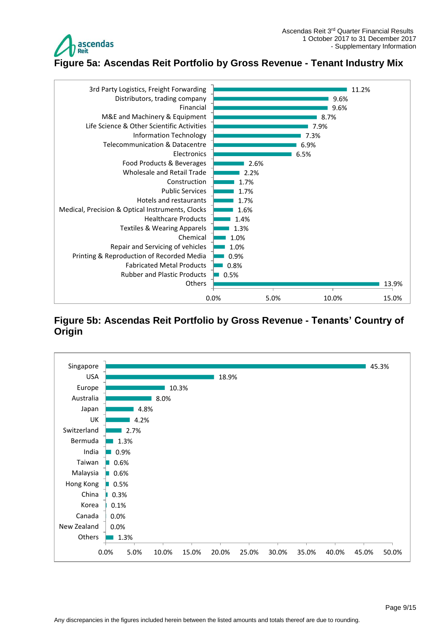

<span id="page-8-0"></span>

### <span id="page-8-1"></span>**Figure 5b: Ascendas Reit Portfolio by Gross Revenue - Tenants' Country of Origin**

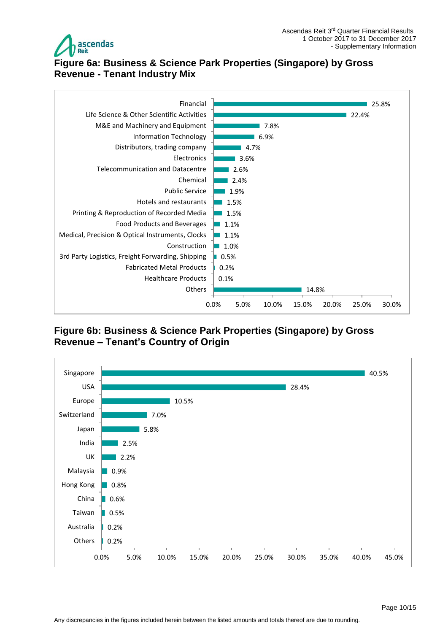



# <span id="page-9-0"></span>**Figure 6a: Business & Science Park Properties (Singapore) by Gross Revenue - Tenant Industry Mix**



### <span id="page-9-1"></span>**Figure 6b: Business & Science Park Properties (Singapore) by Gross Revenue – Tenant's Country of Origin**

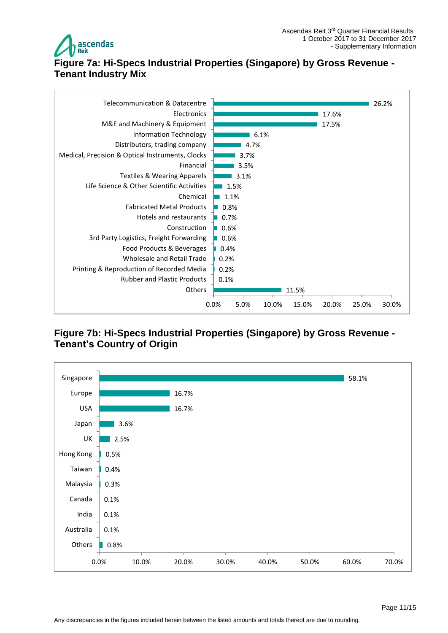

# <span id="page-10-0"></span>**Figure 7a: Hi-Specs Industrial Properties (Singapore) by Gross Revenue - Tenant Industry Mix**



# <span id="page-10-1"></span>**Figure 7b: Hi-Specs Industrial Properties (Singapore) by Gross Revenue - Tenant's Country of Origin**

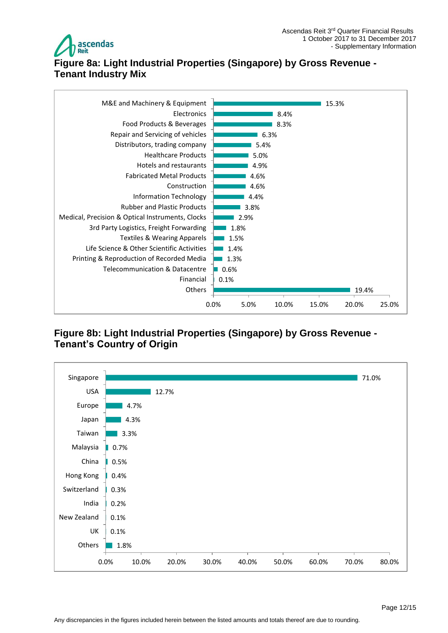



# <span id="page-11-0"></span>**Figure 8a: Light Industrial Properties (Singapore) by Gross Revenue - Tenant Industry Mix**



# <span id="page-11-1"></span>**Figure 8b: Light Industrial Properties (Singapore) by Gross Revenue - Tenant's Country of Origin**

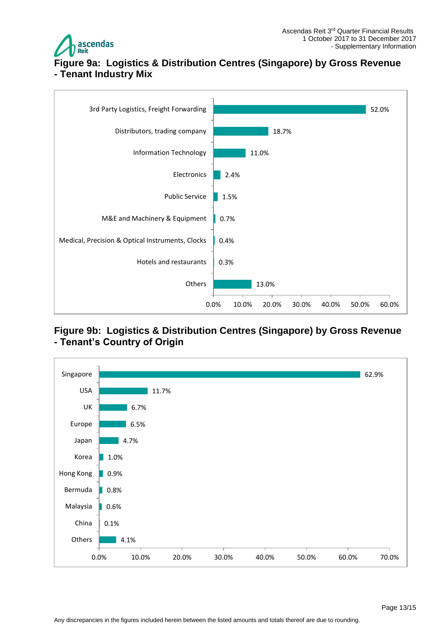

# <span id="page-12-0"></span>**Figure 9a: Logistics & Distribution Centres (Singapore) by Gross Revenue - Tenant Industry Mix**



### <span id="page-12-1"></span>**Figure 9b: Logistics & Distribution Centres (Singapore) by Gross Revenue - Tenant's Country of Origin**

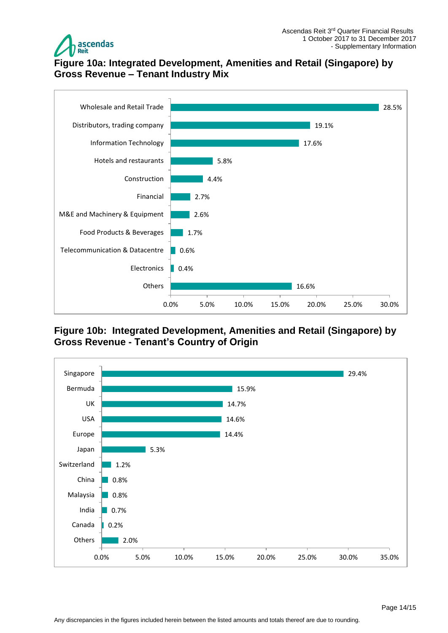

# <span id="page-13-0"></span>**Figure 10a: Integrated Development, Amenities and Retail (Singapore) by Gross Revenue – Tenant Industry Mix**



### <span id="page-13-1"></span>**Figure 10b: Integrated Development, Amenities and Retail (Singapore) by Gross Revenue - Tenant's Country of Origin**